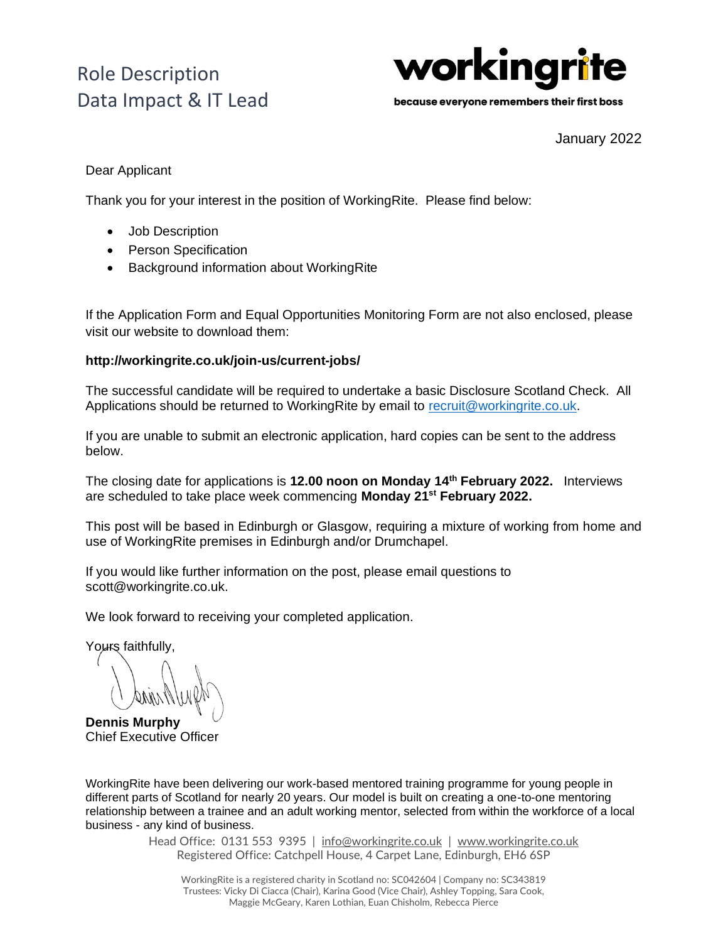

because everyone remembers their first boss

January 2022

### Dear Applicant

Thank you for your interest in the position of WorkingRite. Please find below:

- Job Description
- Person Specification
- Background information about WorkingRite

If the Application Form and Equal Opportunities Monitoring Form are not also enclosed, please visit our website to download them:

### **http://workingrite.co.uk/join-us/current-jobs/**

The successful candidate will be required to undertake a basic Disclosure Scotland Check. All Applications should be returned to WorkingRite by email to [recruit@workingrite.co.uk.](mailto:recruit@workingrite.co.uk)

If you are unable to submit an electronic application, hard copies can be sent to the address below.

The closing date for applications is **12.00 noon on Monday 14th February 2022.** Interviews are scheduled to take place week commencing **Monday 21st February 2022.**

This post will be based in Edinburgh or Glasgow, requiring a mixture of working from home and use of WorkingRite premises in Edinburgh and/or Drumchapel.

If you would like further information on the post, please email questions to scott@workingrite.co.uk.

We look forward to receiving your completed application.

Yours faithfully.

**Dennis Murphy** Chief Executive Officer

WorkingRite have been delivering our work-based mentored training programme for young people in different parts of Scotland for nearly 20 years. Our model is built on creating a one-to-one mentoring relationship between a trainee and an adult working mentor, selected from within the workforce of a local business - any kind of business.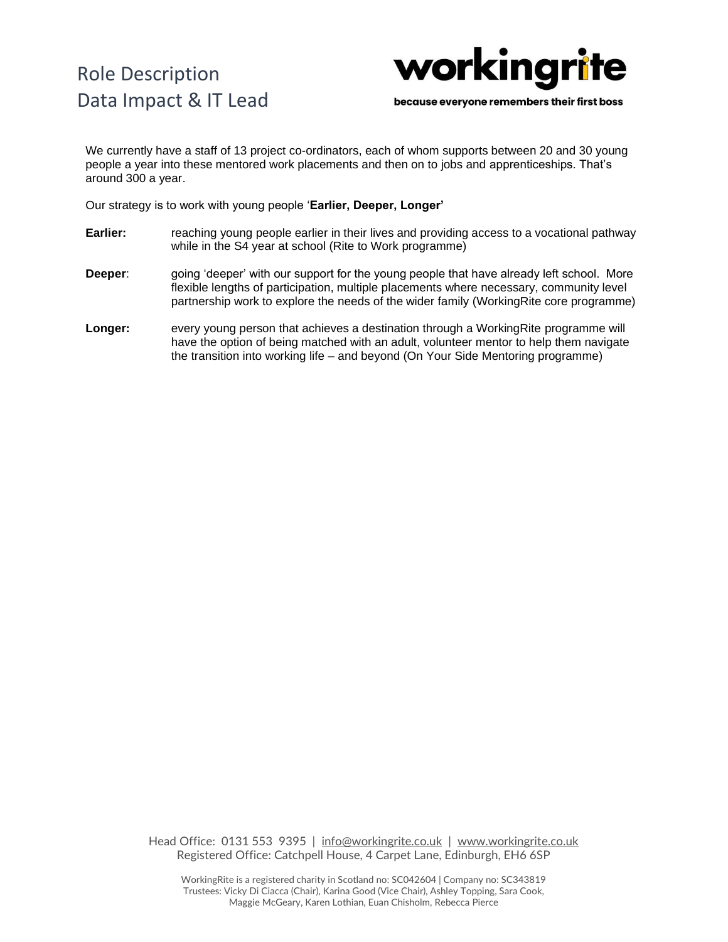

because everyone remembers their first boss

We currently have a staff of 13 project co-ordinators, each of whom supports between 20 and 30 young people a year into these mentored work placements and then on to jobs and apprenticeships. That's around 300 a year.

Our strategy is to work with young people '**Earlier, Deeper, Longer'**

- **Earlier:** reaching young people earlier in their lives and providing access to a vocational pathway while in the S4 year at school (Rite to Work programme)
- **Deeper**: going 'deeper' with our support for the young people that have already left school. More flexible lengths of participation, multiple placements where necessary, community level partnership work to explore the needs of the wider family (WorkingRite core programme)
- **Longer:** every young person that achieves a destination through a WorkingRite programme will have the option of being matched with an adult, volunteer mentor to help them navigate the transition into working life – and beyond (On Your Side Mentoring programme)

Head Office: 0131 553 9395 | [info@workingrite.co.uk](mailto:info@workingrite.co.uk) | [www.workingrite.co.uk](http://www.workingrite.co.uk/) Registered Office: Catchpell House, 4 Carpet Lane, Edinburgh, EH6 6SP

WorkingRite is a registered charity in Scotland no: SC042604 | Company no: SC343819 Trustees: Vicky Di Ciacca (Chair), Karina Good (Vice Chair), Ashley Topping, Sara Cook, Maggie McGeary, Karen Lothian, Euan Chisholm, Rebecca Pierce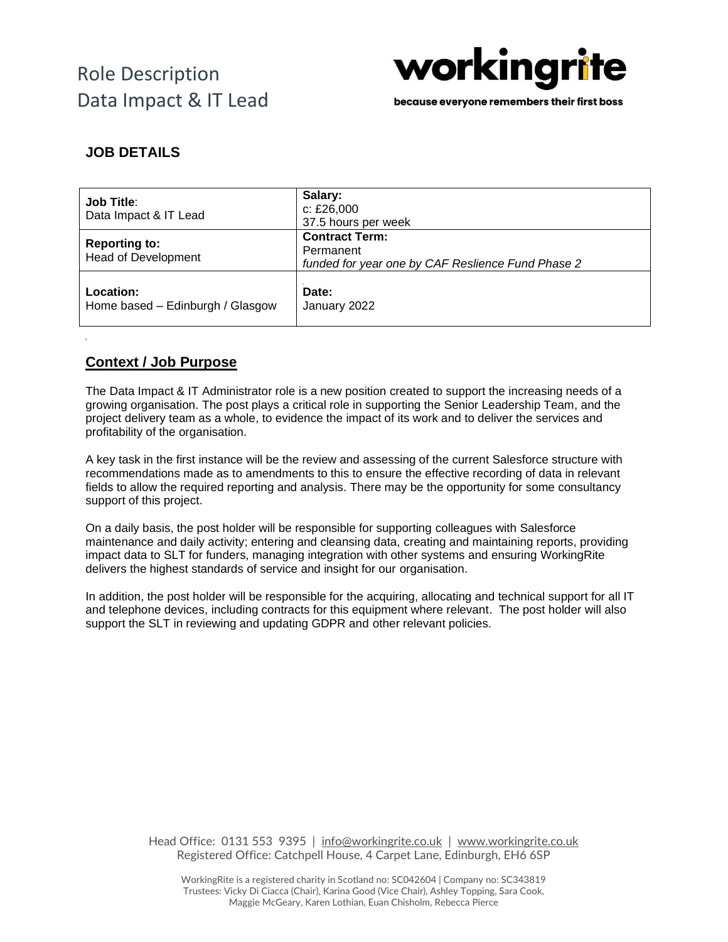

because everyone remembers their first boss

## **JOB DETAILS**

| <b>Job Title:</b><br>Data Impact & IT Lead         | Salary:<br>c: £26,000<br>37.5 hours per week                                            |
|----------------------------------------------------|-----------------------------------------------------------------------------------------|
| <b>Reporting to:</b><br><b>Head of Development</b> | <b>Contract Term:</b><br>Permanent<br>funded for year one by CAF Reslience Fund Phase 2 |
| Location:<br>Home based - Edinburgh / Glasgow      | Date:<br>January 2022                                                                   |

### **Context / Job Purpose**

The Data Impact & IT Administrator role is a new position created to support the increasing needs of a growing organisation. The post plays a critical role in supporting the Senior Leadership Team, and the project delivery team as a whole, to evidence the impact of its work and to deliver the services and profitability of the organisation.

A key task in the first instance will be the review and assessing of the current Salesforce structure with recommendations made as to amendments to this to ensure the effective recording of data in relevant fields to allow the required reporting and analysis. There may be the opportunity for some consultancy support of this project.

On a daily basis, the post holder will be responsible for supporting colleagues with Salesforce maintenance and daily activity; entering and cleansing data, creating and maintaining reports, providing impact data to SLT for funders, managing integration with other systems and ensuring WorkingRite delivers the highest standards of service and insight for our organisation.

In addition, the post holder will be responsible for the acquiring, allocating and technical support for all IT and telephone devices, including contracts for this equipment where relevant. The post holder will also support the SLT in reviewing and updating GDPR and other relevant policies.

> Head Office: 0131 553 9395 | [info@workingrite.co.uk](mailto:info@workingrite.co.uk) | [www.workingrite.co.uk](http://www.workingrite.co.uk/) Registered Office: Catchpell House, 4 Carpet Lane, Edinburgh, EH6 6SP

WorkingRite is a registered charity in Scotland no: SC042604 | Company no: SC343819 Trustees: Vicky Di Ciacca (Chair), Karina Good (Vice Chair), Ashley Topping, Sara Cook, Maggie McGeary, Karen Lothian, Euan Chisholm, Rebecca Pierce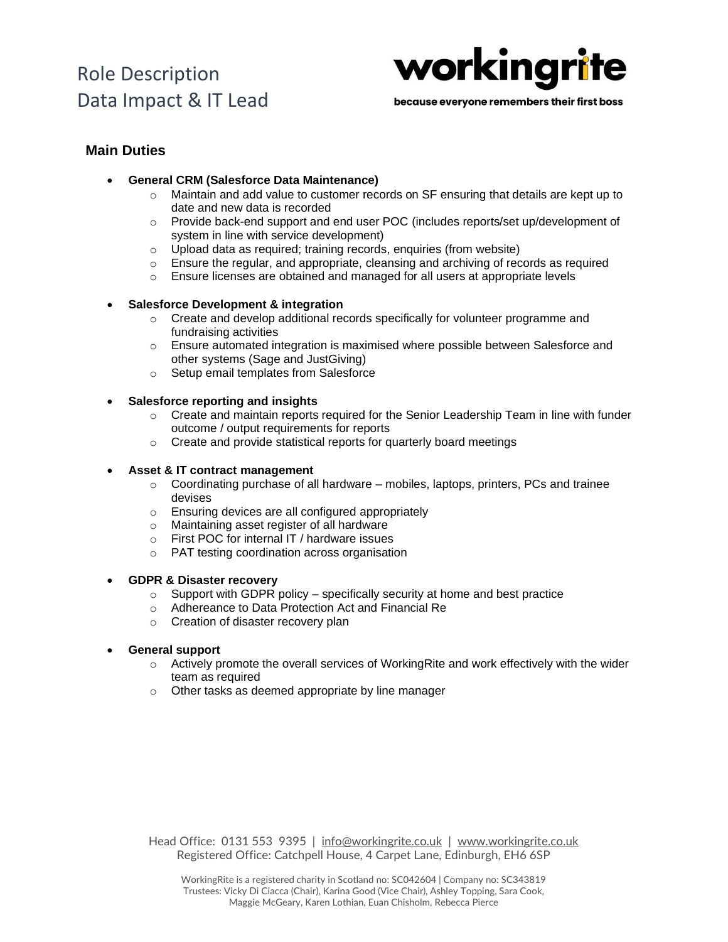

because everyone remembers their first boss

### **Main Duties**

- **General CRM (Salesforce Data Maintenance)**
	- $\circ$  Maintain and add value to customer records on SF ensuring that details are kept up to date and new data is recorded
	- o Provide back-end support and end user POC (includes reports/set up/development of system in line with service development)
	- o Upload data as required; training records, enquiries (from website)
	- $\circ$  Ensure the regular, and appropriate, cleansing and archiving of records as required
	- o Ensure licenses are obtained and managed for all users at appropriate levels

#### • **Salesforce Development & integration**

- $\circ$  Create and develop additional records specifically for volunteer programme and fundraising activities
- $\circ$  Ensure automated integration is maximised where possible between Salesforce and other systems (Sage and JustGiving)
- o Setup email templates from Salesforce

#### • **Salesforce reporting and insights**

- $\circ$  Create and maintain reports required for the Senior Leadership Team in line with funder outcome / output requirements for reports
- o Create and provide statistical reports for quarterly board meetings

#### • **Asset & IT contract management**

- $\circ$  Coordinating purchase of all hardware mobiles, laptops, printers, PCs and trainee devises
- o Ensuring devices are all configured appropriately
- o Maintaining asset register of all hardware
- o First POC for internal IT / hardware issues
- o PAT testing coordination across organisation

#### • **GDPR & Disaster recovery**

- $\circ$  Support with GDPR policy specifically security at home and best practice
- o Adhereance to Data Protection Act and Financial Re
- o Creation of disaster recovery plan
- **General support**
	- $\circ$  Actively promote the overall services of Working Rite and work effectively with the wider team as required
	- o Other tasks as deemed appropriate by line manager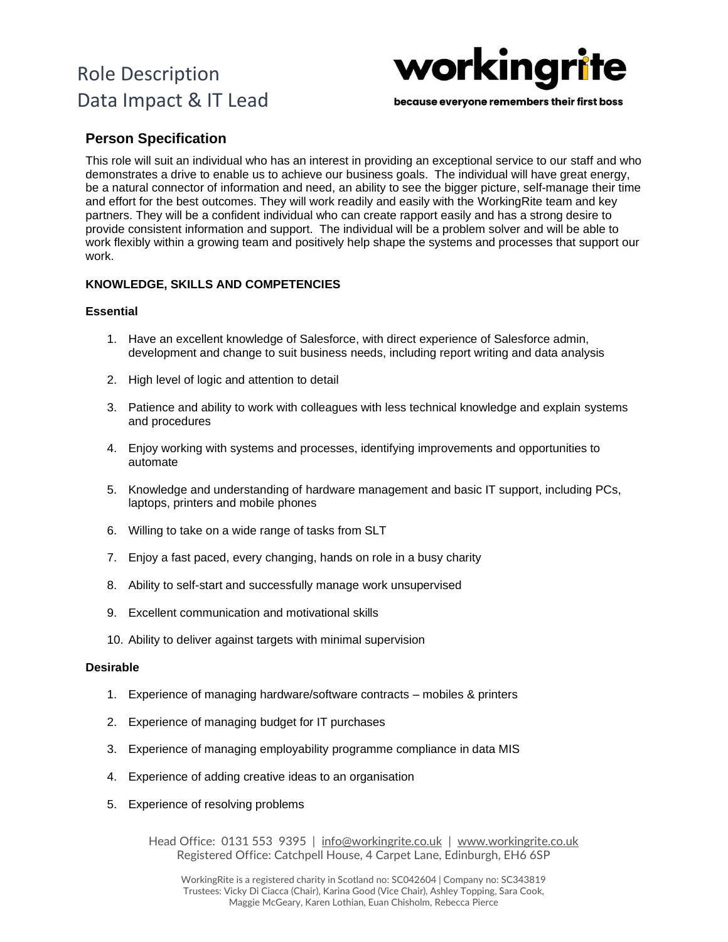

because everyone remembers their first boss

### **Person Specification**

This role will suit an individual who has an interest in providing an exceptional service to our staff and who demonstrates a drive to enable us to achieve our business goals. The individual will have great energy, be a natural connector of information and need, an ability to see the bigger picture, self-manage their time and effort for the best outcomes. They will work readily and easily with the WorkingRite team and key partners. They will be a confident individual who can create rapport easily and has a strong desire to provide consistent information and support. The individual will be a problem solver and will be able to work flexibly within a growing team and positively help shape the systems and processes that support our work.

#### **KNOWLEDGE, SKILLS AND COMPETENCIES**

#### **Essential**

- 1. Have an excellent knowledge of Salesforce, with direct experience of Salesforce admin, development and change to suit business needs, including report writing and data analysis
- 2. High level of logic and attention to detail
- 3. Patience and ability to work with colleagues with less technical knowledge and explain systems and procedures
- 4. Enjoy working with systems and processes, identifying improvements and opportunities to automate
- 5. Knowledge and understanding of hardware management and basic IT support, including PCs, laptops, printers and mobile phones
- 6. Willing to take on a wide range of tasks from SLT
- 7. Enjoy a fast paced, every changing, hands on role in a busy charity
- 8. Ability to self-start and successfully manage work unsupervised
- 9. Excellent communication and motivational skills
- 10. Ability to deliver against targets with minimal supervision

#### **Desirable**

- 1. Experience of managing hardware/software contracts mobiles & printers
- 2. Experience of managing budget for IT purchases
- 3. Experience of managing employability programme compliance in data MIS
- 4. Experience of adding creative ideas to an organisation
- 5. Experience of resolving problems